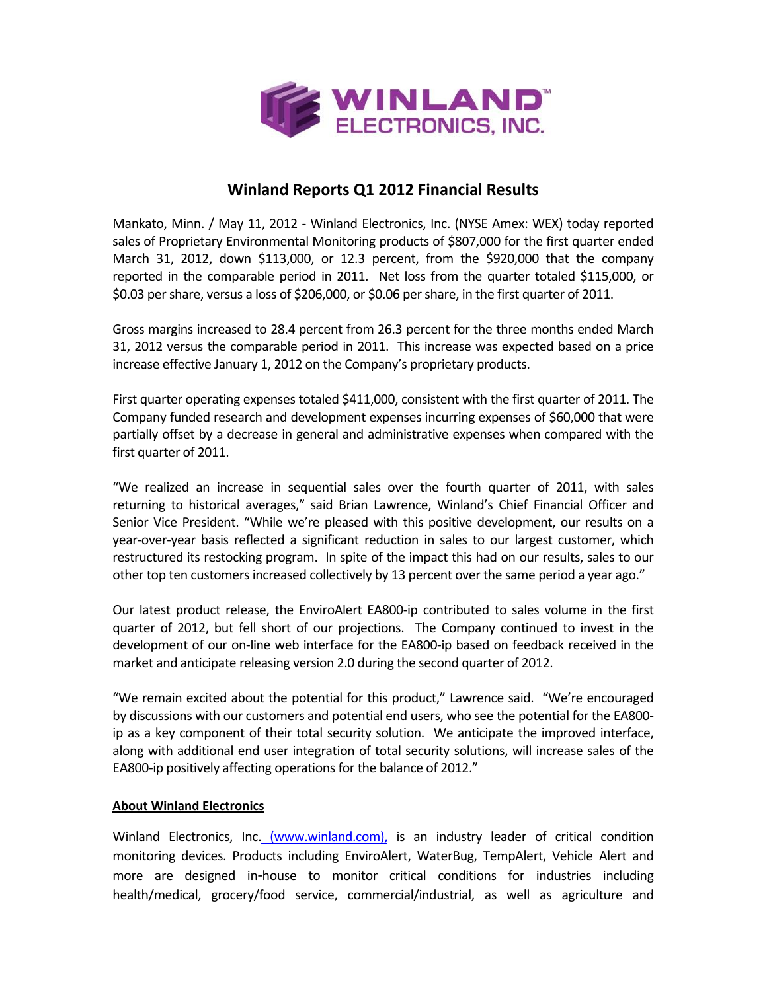

# **Winland Reports Q1 2012 Financial Results**

Mankato, Minn. / May 11, 2012 ‐ Winland Electronics, Inc. (NYSE Amex: WEX) today reported sales of Proprietary Environmental Monitoring products of \$807,000 for the first quarter ended March 31, 2012, down \$113,000, or 12.3 percent, from the \$920,000 that the company reported in the comparable period in 2011. Net loss from the quarter totaled \$115,000, or \$0.03 pershare, versus a loss of \$206,000, or \$0.06 pershare, in the first quarter of 2011.

Gross margins increased to 28.4 percent from 26.3 percent for the three months ended March 31, 2012 versus the comparable period in 2011. This increase was expected based on a price increase effective January 1, 2012 on the Company's proprietary products.

First quarter operating expenses totaled \$411,000, consistent with the first quarter of 2011. The Company funded research and development expenses incurring expenses of \$60,000 that were partially offset by a decrease in general and administrative expenses when compared with the first quarter of 2011.

"We realized an increase in sequential sales over the fourth quarter of 2011, with sales returning to historical averages," said Brian Lawrence, Winland's Chief Financial Officer and Senior Vice President. "While we're pleased with this positive development, our results on a year‐over‐year basis reflected a significant reduction in sales to our largest customer, which restructured its restocking program. In spite of the impact this had on our results, sales to our other top ten customers increased collectively by 13 percent over the same period a year ago."

Our latest product release, the EnviroAlert EA800‐ip contributed to sales volume in the first quarter of 2012, but fell short of our projections. The Company continued to invest in the development of our on‐line web interface for the EA800‐ip based on feedback received in the market and anticipate releasing version 2.0 during the second quarter of 2012.

"We remain excited about the potential for this product," Lawrence said. "We're encouraged by discussions with our customers and potential end users, who see the potential for the EA800‐ ip as a key component of their total security solution. We anticipate the improved interface, along with additional end user integration of total security solutions, will increase sales of the EA800-ip positively affecting operations for the balance of 2012."

### **About Winland Electronics**

Winland Electronics, Inc. (www.winland.com), is an industry leader of critical condition monitoring devices. Products including EnviroAlert, WaterBug, TempAlert, Vehicle Alert and more are designed in‐house to monitor critical conditions for industries including health/medical, grocery/food service, commercial/industrial, as well as agriculture and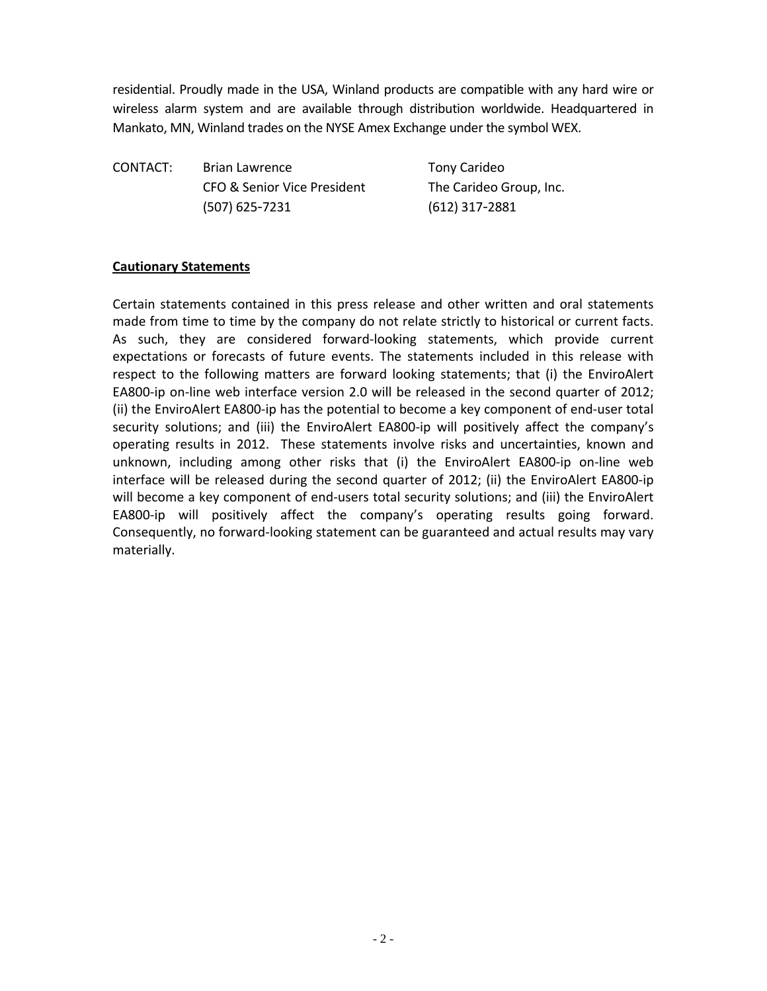residential. Proudly made in the USA, Winland products are compatible with any hard wire or wireless alarm system and are available through distribution worldwide. Headquartered in Mankato, MN, Winland trades on the NYSE Amex Exchange under the symbol WEX.

CONTACT: Brian Lawrence Tony Carideo CFO & Senior Vice President The Carideo Group, Inc. (507) 625‐7231 (612) 317‐2881

## **Cautionary Statements**

Certain statements contained in this press release and other written and oral statements made from time to time by the company do not relate strictly to historical or current facts. As such, they are considered forward‐looking statements, which provide current expectations or forecasts of future events. The statements included in this release with respect to the following matters are forward looking statements; that (i) the EnviroAlert EA800-ip on-line web interface version 2.0 will be released in the second quarter of 2012; (ii) the EnviroAlert EA800‐ip has the potential to become a key component of end‐user total security solutions; and (iii) the EnviroAlert EA800-ip will positively affect the company's operating results in 2012. These statements involve risks and uncertainties, known and unknown, including among other risks that (i) the EnviroAlert EA800‐ip on‐line web interface will be released during the second quarter of 2012; (ii) the EnviroAlert EA800‐ip will become a key component of end-users total security solutions; and (iii) the EnviroAlert EA800-ip will positively affect the company's operating results going forward. Consequently, no forward‐looking statement can be guaranteed and actual results may vary materially.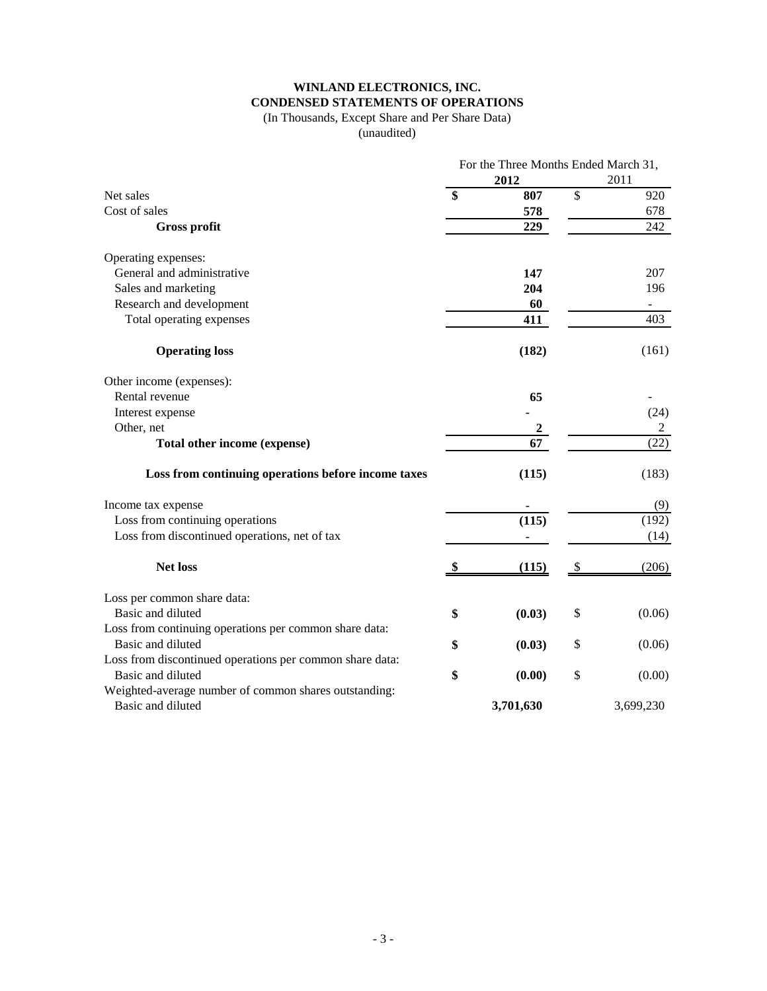# **WINLAND ELECTRONICS, INC. CONDENSED STATEMENTS OF OPERATIONS**

#### (In Thousands, Except Share and Per Share Data)

(unaudited)

|                                                          | For the Three Months Ended March 31, |           |    |                          |  |
|----------------------------------------------------------|--------------------------------------|-----------|----|--------------------------|--|
|                                                          |                                      | 2012      |    | 2011                     |  |
| Net sales                                                | \$                                   | 807       | \$ | 920                      |  |
| Cost of sales                                            |                                      | 578       |    | 678                      |  |
| <b>Gross profit</b>                                      |                                      | 229       |    | 242                      |  |
| Operating expenses:                                      |                                      |           |    |                          |  |
| General and administrative                               |                                      | 147       |    | 207                      |  |
| Sales and marketing                                      |                                      | 204       |    | 196                      |  |
| Research and development                                 |                                      | 60        |    | $\overline{\phantom{a}}$ |  |
| Total operating expenses                                 |                                      | 411       |    | 403                      |  |
| <b>Operating loss</b>                                    |                                      | (182)     |    | (161)                    |  |
| Other income (expenses):                                 |                                      |           |    |                          |  |
| Rental revenue                                           |                                      | 65        |    |                          |  |
| Interest expense                                         |                                      |           |    | (24)                     |  |
| Other, net                                               |                                      | 2         |    | $\overline{c}$           |  |
| Total other income (expense)                             |                                      | 67        |    | (22)                     |  |
| Loss from continuing operations before income taxes      |                                      | (115)     |    | (183)                    |  |
| Income tax expense                                       |                                      |           |    | (9)                      |  |
| Loss from continuing operations                          |                                      | (115)     |    | (192)                    |  |
| Loss from discontinued operations, net of tax            |                                      |           |    | (14)                     |  |
| <b>Net loss</b>                                          |                                      | (115)     | S, | (206)                    |  |
| Loss per common share data:                              |                                      |           |    |                          |  |
| Basic and diluted                                        | \$                                   | (0.03)    | \$ | (0.06)                   |  |
| Loss from continuing operations per common share data:   |                                      |           |    |                          |  |
| Basic and diluted                                        | \$                                   | (0.03)    | \$ | (0.06)                   |  |
| Loss from discontinued operations per common share data: |                                      |           |    |                          |  |
| Basic and diluted                                        | \$                                   | (0.00)    | \$ | (0.00)                   |  |
| Weighted-average number of common shares outstanding:    |                                      |           |    |                          |  |
| Basic and diluted                                        |                                      | 3,701,630 |    | 3,699,230                |  |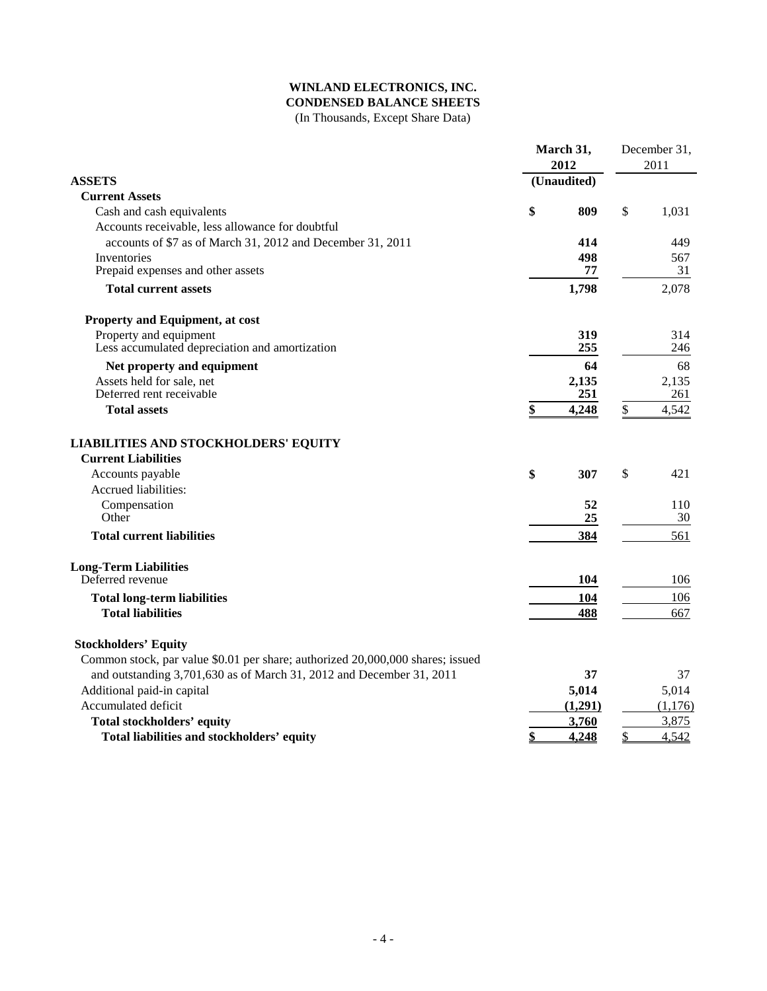## **WINLAND ELECTRONICS, INC. CONDENSED BALANCE SHEETS**

(In Thousands, Except Share Data)

| 2012<br>2011<br><b>ASSETS</b><br>(Unaudited)<br><b>Current Assets</b><br>\$<br>\$<br>809<br>1,031<br>Cash and cash equivalents<br>Accounts receivable, less allowance for doubtful<br>accounts of \$7 as of March 31, 2012 and December 31, 2011<br>414<br>449<br>Inventories<br>498<br>567<br>Prepaid expenses and other assets<br>77<br>31<br>2,078<br><b>Total current assets</b><br>1,798<br>Property and Equipment, at cost<br>Property and equipment<br>319<br>314<br>Less accumulated depreciation and amortization<br>255<br>246<br>Net property and equipment<br>64<br>68<br>Assets held for sale, net<br>2,135<br>2,135<br>Deferred rent receivable<br>251<br>261<br>\$<br>\$<br><b>Total assets</b><br>4,248<br>4,542<br><b>LIABILITIES AND STOCKHOLDERS' EQUITY</b><br><b>Current Liabilities</b><br>\$<br>\$<br>421<br>Accounts payable<br>307<br>Accrued liabilities:<br>Compensation<br>52<br>110<br>Other<br>25<br>30<br>561<br><b>Total current liabilities</b><br>384<br><b>Long-Term Liabilities</b><br>Deferred revenue<br>104<br>106<br><b>Total long-term liabilities</b><br>104<br>106<br><b>Total liabilities</b><br>488<br>667<br><b>Stockholders' Equity</b><br>Common stock, par value \$0.01 per share; authorized 20,000,000 shares; issued<br>and outstanding 3,701,630 as of March 31, 2012 and December 31, 2011<br>37<br>37<br>Additional paid-in capital<br>5,014<br>5,014<br>Accumulated deficit<br>(1,291)<br>3,760<br>3,875<br>Total stockholders' equity<br>4,248<br>Total liabilities and stockholders' equity<br>\$<br>\$<br>4,542 |  |  | March 31, |  | December 31, |  |
|----------------------------------------------------------------------------------------------------------------------------------------------------------------------------------------------------------------------------------------------------------------------------------------------------------------------------------------------------------------------------------------------------------------------------------------------------------------------------------------------------------------------------------------------------------------------------------------------------------------------------------------------------------------------------------------------------------------------------------------------------------------------------------------------------------------------------------------------------------------------------------------------------------------------------------------------------------------------------------------------------------------------------------------------------------------------------------------------------------------------------------------------------------------------------------------------------------------------------------------------------------------------------------------------------------------------------------------------------------------------------------------------------------------------------------------------------------------------------------------------------------------------------------------------------------------------------|--|--|-----------|--|--------------|--|
|                                                                                                                                                                                                                                                                                                                                                                                                                                                                                                                                                                                                                                                                                                                                                                                                                                                                                                                                                                                                                                                                                                                                                                                                                                                                                                                                                                                                                                                                                                                                                                            |  |  |           |  |              |  |
|                                                                                                                                                                                                                                                                                                                                                                                                                                                                                                                                                                                                                                                                                                                                                                                                                                                                                                                                                                                                                                                                                                                                                                                                                                                                                                                                                                                                                                                                                                                                                                            |  |  |           |  |              |  |
|                                                                                                                                                                                                                                                                                                                                                                                                                                                                                                                                                                                                                                                                                                                                                                                                                                                                                                                                                                                                                                                                                                                                                                                                                                                                                                                                                                                                                                                                                                                                                                            |  |  |           |  |              |  |
|                                                                                                                                                                                                                                                                                                                                                                                                                                                                                                                                                                                                                                                                                                                                                                                                                                                                                                                                                                                                                                                                                                                                                                                                                                                                                                                                                                                                                                                                                                                                                                            |  |  |           |  |              |  |
|                                                                                                                                                                                                                                                                                                                                                                                                                                                                                                                                                                                                                                                                                                                                                                                                                                                                                                                                                                                                                                                                                                                                                                                                                                                                                                                                                                                                                                                                                                                                                                            |  |  |           |  |              |  |
|                                                                                                                                                                                                                                                                                                                                                                                                                                                                                                                                                                                                                                                                                                                                                                                                                                                                                                                                                                                                                                                                                                                                                                                                                                                                                                                                                                                                                                                                                                                                                                            |  |  |           |  |              |  |
|                                                                                                                                                                                                                                                                                                                                                                                                                                                                                                                                                                                                                                                                                                                                                                                                                                                                                                                                                                                                                                                                                                                                                                                                                                                                                                                                                                                                                                                                                                                                                                            |  |  |           |  |              |  |
|                                                                                                                                                                                                                                                                                                                                                                                                                                                                                                                                                                                                                                                                                                                                                                                                                                                                                                                                                                                                                                                                                                                                                                                                                                                                                                                                                                                                                                                                                                                                                                            |  |  |           |  |              |  |
|                                                                                                                                                                                                                                                                                                                                                                                                                                                                                                                                                                                                                                                                                                                                                                                                                                                                                                                                                                                                                                                                                                                                                                                                                                                                                                                                                                                                                                                                                                                                                                            |  |  |           |  |              |  |
|                                                                                                                                                                                                                                                                                                                                                                                                                                                                                                                                                                                                                                                                                                                                                                                                                                                                                                                                                                                                                                                                                                                                                                                                                                                                                                                                                                                                                                                                                                                                                                            |  |  |           |  |              |  |
|                                                                                                                                                                                                                                                                                                                                                                                                                                                                                                                                                                                                                                                                                                                                                                                                                                                                                                                                                                                                                                                                                                                                                                                                                                                                                                                                                                                                                                                                                                                                                                            |  |  |           |  |              |  |
|                                                                                                                                                                                                                                                                                                                                                                                                                                                                                                                                                                                                                                                                                                                                                                                                                                                                                                                                                                                                                                                                                                                                                                                                                                                                                                                                                                                                                                                                                                                                                                            |  |  |           |  |              |  |
|                                                                                                                                                                                                                                                                                                                                                                                                                                                                                                                                                                                                                                                                                                                                                                                                                                                                                                                                                                                                                                                                                                                                                                                                                                                                                                                                                                                                                                                                                                                                                                            |  |  |           |  |              |  |
|                                                                                                                                                                                                                                                                                                                                                                                                                                                                                                                                                                                                                                                                                                                                                                                                                                                                                                                                                                                                                                                                                                                                                                                                                                                                                                                                                                                                                                                                                                                                                                            |  |  |           |  |              |  |
|                                                                                                                                                                                                                                                                                                                                                                                                                                                                                                                                                                                                                                                                                                                                                                                                                                                                                                                                                                                                                                                                                                                                                                                                                                                                                                                                                                                                                                                                                                                                                                            |  |  |           |  |              |  |
|                                                                                                                                                                                                                                                                                                                                                                                                                                                                                                                                                                                                                                                                                                                                                                                                                                                                                                                                                                                                                                                                                                                                                                                                                                                                                                                                                                                                                                                                                                                                                                            |  |  |           |  |              |  |
|                                                                                                                                                                                                                                                                                                                                                                                                                                                                                                                                                                                                                                                                                                                                                                                                                                                                                                                                                                                                                                                                                                                                                                                                                                                                                                                                                                                                                                                                                                                                                                            |  |  |           |  |              |  |
|                                                                                                                                                                                                                                                                                                                                                                                                                                                                                                                                                                                                                                                                                                                                                                                                                                                                                                                                                                                                                                                                                                                                                                                                                                                                                                                                                                                                                                                                                                                                                                            |  |  |           |  |              |  |
|                                                                                                                                                                                                                                                                                                                                                                                                                                                                                                                                                                                                                                                                                                                                                                                                                                                                                                                                                                                                                                                                                                                                                                                                                                                                                                                                                                                                                                                                                                                                                                            |  |  |           |  |              |  |
|                                                                                                                                                                                                                                                                                                                                                                                                                                                                                                                                                                                                                                                                                                                                                                                                                                                                                                                                                                                                                                                                                                                                                                                                                                                                                                                                                                                                                                                                                                                                                                            |  |  |           |  |              |  |
|                                                                                                                                                                                                                                                                                                                                                                                                                                                                                                                                                                                                                                                                                                                                                                                                                                                                                                                                                                                                                                                                                                                                                                                                                                                                                                                                                                                                                                                                                                                                                                            |  |  |           |  |              |  |
|                                                                                                                                                                                                                                                                                                                                                                                                                                                                                                                                                                                                                                                                                                                                                                                                                                                                                                                                                                                                                                                                                                                                                                                                                                                                                                                                                                                                                                                                                                                                                                            |  |  |           |  |              |  |
|                                                                                                                                                                                                                                                                                                                                                                                                                                                                                                                                                                                                                                                                                                                                                                                                                                                                                                                                                                                                                                                                                                                                                                                                                                                                                                                                                                                                                                                                                                                                                                            |  |  |           |  |              |  |
|                                                                                                                                                                                                                                                                                                                                                                                                                                                                                                                                                                                                                                                                                                                                                                                                                                                                                                                                                                                                                                                                                                                                                                                                                                                                                                                                                                                                                                                                                                                                                                            |  |  |           |  |              |  |
|                                                                                                                                                                                                                                                                                                                                                                                                                                                                                                                                                                                                                                                                                                                                                                                                                                                                                                                                                                                                                                                                                                                                                                                                                                                                                                                                                                                                                                                                                                                                                                            |  |  |           |  |              |  |
|                                                                                                                                                                                                                                                                                                                                                                                                                                                                                                                                                                                                                                                                                                                                                                                                                                                                                                                                                                                                                                                                                                                                                                                                                                                                                                                                                                                                                                                                                                                                                                            |  |  |           |  |              |  |
|                                                                                                                                                                                                                                                                                                                                                                                                                                                                                                                                                                                                                                                                                                                                                                                                                                                                                                                                                                                                                                                                                                                                                                                                                                                                                                                                                                                                                                                                                                                                                                            |  |  |           |  |              |  |
|                                                                                                                                                                                                                                                                                                                                                                                                                                                                                                                                                                                                                                                                                                                                                                                                                                                                                                                                                                                                                                                                                                                                                                                                                                                                                                                                                                                                                                                                                                                                                                            |  |  |           |  |              |  |
|                                                                                                                                                                                                                                                                                                                                                                                                                                                                                                                                                                                                                                                                                                                                                                                                                                                                                                                                                                                                                                                                                                                                                                                                                                                                                                                                                                                                                                                                                                                                                                            |  |  |           |  |              |  |
|                                                                                                                                                                                                                                                                                                                                                                                                                                                                                                                                                                                                                                                                                                                                                                                                                                                                                                                                                                                                                                                                                                                                                                                                                                                                                                                                                                                                                                                                                                                                                                            |  |  |           |  |              |  |
|                                                                                                                                                                                                                                                                                                                                                                                                                                                                                                                                                                                                                                                                                                                                                                                                                                                                                                                                                                                                                                                                                                                                                                                                                                                                                                                                                                                                                                                                                                                                                                            |  |  |           |  |              |  |
|                                                                                                                                                                                                                                                                                                                                                                                                                                                                                                                                                                                                                                                                                                                                                                                                                                                                                                                                                                                                                                                                                                                                                                                                                                                                                                                                                                                                                                                                                                                                                                            |  |  |           |  | (1,176)      |  |
|                                                                                                                                                                                                                                                                                                                                                                                                                                                                                                                                                                                                                                                                                                                                                                                                                                                                                                                                                                                                                                                                                                                                                                                                                                                                                                                                                                                                                                                                                                                                                                            |  |  |           |  |              |  |
|                                                                                                                                                                                                                                                                                                                                                                                                                                                                                                                                                                                                                                                                                                                                                                                                                                                                                                                                                                                                                                                                                                                                                                                                                                                                                                                                                                                                                                                                                                                                                                            |  |  |           |  |              |  |